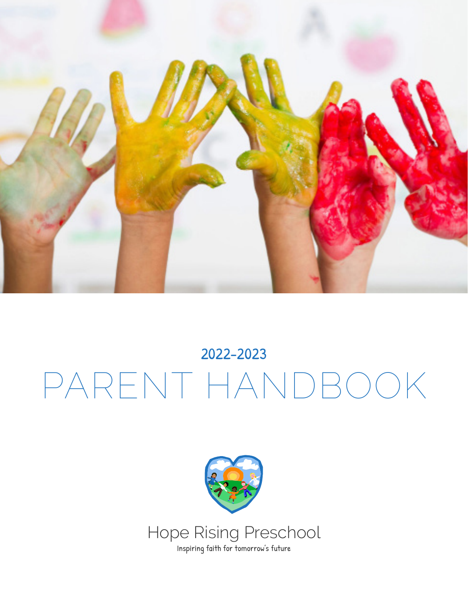

# 2022-2023 PARENT HANDBOOK

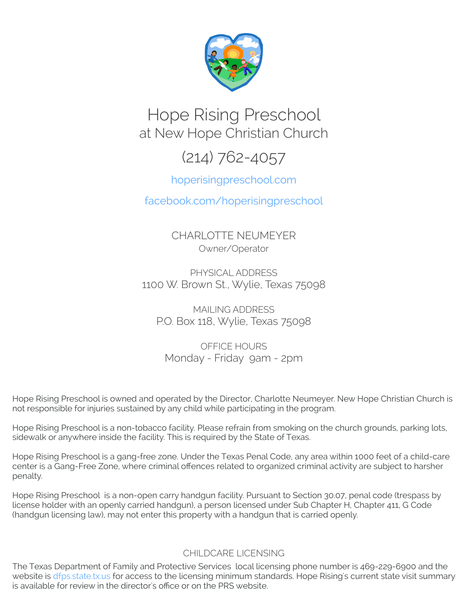

# Hope Rising Preschool at New Hope Christian Church

# (214) 762-4057

#### hoperisingpreschool.com

facebook.com/hoperisingpreschool

CHARLOTTE NEUMEYER Owner/Operator

PHYSICAL ADDRESS 1100 W. Brown St., Wylie, Texas 75098

MAILING ADDRESS P.O. Box 118, Wylie, Texas 75098

OFFICE HOURS Monday - Friday 9am - 2pm

Hope Rising Preschool is owned and operated by the Director, Charlotte Neumeyer. New Hope Christian Church is not responsible for injuries sustained by any child while participating in the program.

Hope Rising Preschool is a non-tobacco facility. Please refrain from smoking on the church grounds, parking lots, sidewalk or anywhere inside the facility. This is required by the State of Texas.

Hope Rising Preschool is a gang-free zone. Under the Texas Penal Code, any area within 1000 feet of a child-care center is a Gang-Free Zone, where criminal offences related to organized criminal activity are subject to harsher penalty.

Hope Rising Preschool is a non-open carry handgun facility. Pursuant to Section 30.07, penal code (trespass by license holder with an openly carried handgun), a person licensed under Sub Chapter H, Chapter 411, G Code (handgun licensing law), may not enter this property with a handgun that is carried openly.

#### CHILDCARE LICENSING

The Texas Department of Family and Protective Services local licensing phone number is 469-229-6900 and the website is [dfps.state.tx.us](http://www.dfps.state.tx.us/) for access to the licensing minimum standards. Hope Rising's current state visit summary is available for review in the director's office or on the PRS website.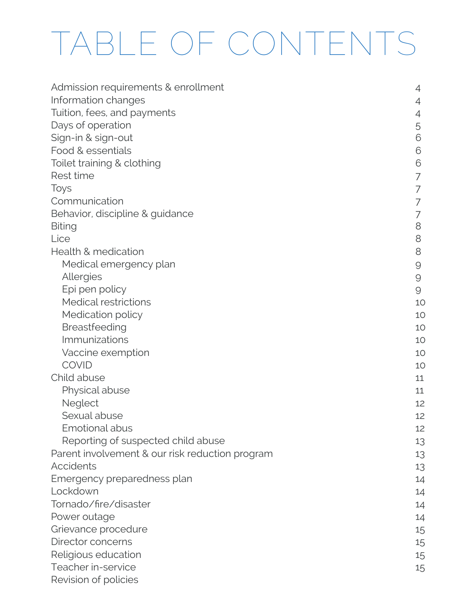# TABLE OF CONTENTS

| Admission requirements & enrollment             | 4        |
|-------------------------------------------------|----------|
| Information changes                             | 4        |
| Tuition, fees, and payments                     | 4        |
| Days of operation                               | 5        |
| Sign-in & sign-out                              | 6        |
| Food & essentials                               | 6        |
| Toilet training & clothing                      | 6        |
| Rest time                                       | 7        |
| Toys                                            | 7        |
| Communication                                   | 7        |
| Behavior, discipline & guidance                 | 7        |
| <b>Biting</b>                                   | 8        |
| Lice                                            | 8        |
| Health & medication                             | 8        |
| Medical emergency plan                          | 9        |
| Allergies                                       | $\Theta$ |
| Epi pen policy                                  | $\Theta$ |
| Medical restrictions                            | 10       |
| Medication policy                               | 10       |
| Breastfeeding                                   | 10       |
| Immunizations                                   | 10       |
| Vaccine exemption                               | 10       |
| <b>COVID</b>                                    | 10       |
| Child abuse                                     | 11       |
| Physical abuse                                  | 11       |
| Neglect                                         | 12       |
| Sexual abuse                                    | 12       |
| Emotional abus                                  | 12       |
| Reporting of suspected child abuse              | 13       |
| Parent involvement & our risk reduction program | 13       |
| Accidents                                       | 13       |
| Emergency preparedness plan                     | 14       |
| Lockdown                                        | 14       |
| Tornado/fire/disaster                           | 14       |
| Power outage                                    | 14       |
| Grievance procedure                             | 15       |
| Director concerns                               | 15       |
| Religious education                             | 15       |
| Teacher in-service                              | 15       |
| Revision of policies                            |          |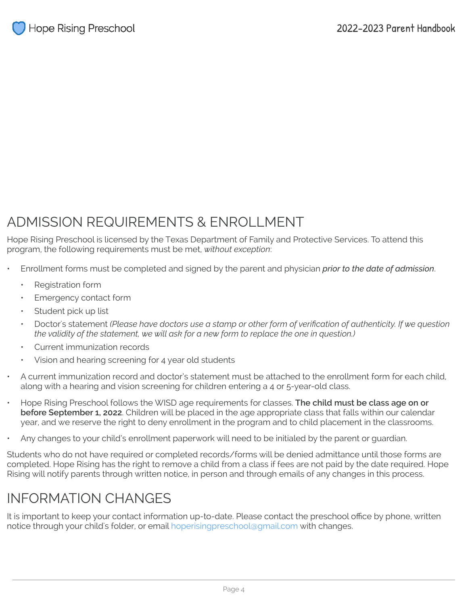## ADMISSION REQUIREMENTS & ENROLLMENT

Hope Rising Preschool is licensed by the Texas Department of Family and Protective Services. To attend this program, the following requirements must be met, *without exception*:

- Enrollment forms must be completed and signed by the parent and physician *prior to the date of admission*.
	- Registration form
	- Emergency contact form
	- Student pick up list
	- Doctor's statement *(Please have doctors use a stamp or other form of verification of authenticity. If we question the validity of the statement, we will ask for a new form to replace the one in question.)*
	- Current immunization records
	- Vision and hearing screening for 4 year old students
- A current immunization record and doctor's statement must be attached to the enrollment form for each child, along with a hearing and vision screening for children entering a 4 or 5-year-old class.
- Hope Rising Preschool follows the WISD age requirements for classes. **The child must be class age on or before September 1, 2022**. Children will be placed in the age appropriate class that falls within our calendar year, and we reserve the right to deny enrollment in the program and to child placement in the classrooms.
- Any changes to your child's enrollment paperwork will need to be initialed by the parent or guardian.

Students who do not have required or completed records/forms will be denied admittance until those forms are completed. Hope Rising has the right to remove a child from a class if fees are not paid by the date required. Hope Rising will notify parents through written notice, in person and through emails of any changes in this process.

## INFORMATION CHANGES

It is important to keep your contact information up-to-date. Please contact the preschool office by phone, written notice through your child's folder, or email hoperisingpreschool@gmail.com with changes.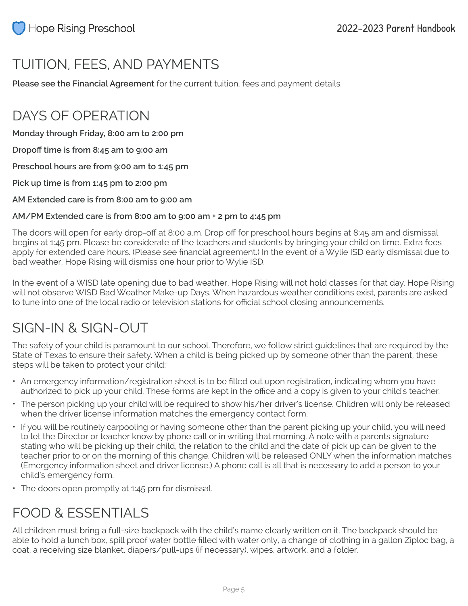# TUITION, FEES, AND PAYMENTS

**Please see the Financial Agreement** for the current tuition, fees and payment details.

## DAYS OF OPERATION

**Monday through Friday, 8:00 am to 2:00 pm** 

**Dropoff time is from 8:45 am to 9:00 am** 

**Preschool hours are from 9:00 am to 1:45 pm**

**Pick up time is from 1:45 pm to 2:00 pm**

**AM Extended care is from 8:00 am to 9:00 am**

#### **AM/PM Extended care is from 8:00 am to 9:00 am + 2 pm to 4:45 pm**

The doors will open for early drop-off at 8:00 a.m. Drop off for preschool hours begins at 8:45 am and dismissal begins at 1:45 pm. Please be considerate of the teachers and students by bringing your child on time. Extra fees apply for extended care hours. (Please see financial agreement.) In the event of a Wylie ISD early dismissal due to bad weather, Hope Rising will dismiss one hour prior to Wylie ISD.

In the event of a WISD late opening due to bad weather, Hope Rising will not hold classes for that day. Hope Rising will not observe WISD Bad Weather Make-up Days. When hazardous weather conditions exist, parents are asked to tune into one of the local radio or television stations for official school closing announcements.

## SIGN-IN & SIGN-OUT

The safety of your child is paramount to our school. Therefore, we follow strict guidelines that are required by the State of Texas to ensure their safety. When a child is being picked up by someone other than the parent, these steps will be taken to protect your child:

- An emergency information/registration sheet is to be filled out upon registration, indicating whom you have authorized to pick up your child. These forms are kept in the office and a copy is given to your child's teacher.
- The person picking up your child will be required to show his/her driver's license. Children will only be released when the driver license information matches the emergency contact form.
- If you will be routinely carpooling or having someone other than the parent picking up your child, you will need to let the Director or teacher know by phone call or in writing that morning. A note with a parents signature stating who will be picking up their child, the relation to the child and the date of pick up can be given to the teacher prior to or on the morning of this change. Children will be released ONLY when the information matches (Emergency information sheet and driver license.) A phone call is all that is necessary to add a person to your child's emergency form.
- The doors open promptly at 1:45 pm for dismissal.

## FOOD & ESSENTIALS

All children must bring a full-size backpack with the child's name clearly written on it. The backpack should be able to hold a lunch box, spill proof water bottle filled with water only, a change of clothing in a gallon Ziploc bag, a coat, a receiving size blanket, diapers/pull-ups (if necessary), wipes, artwork, and a folder.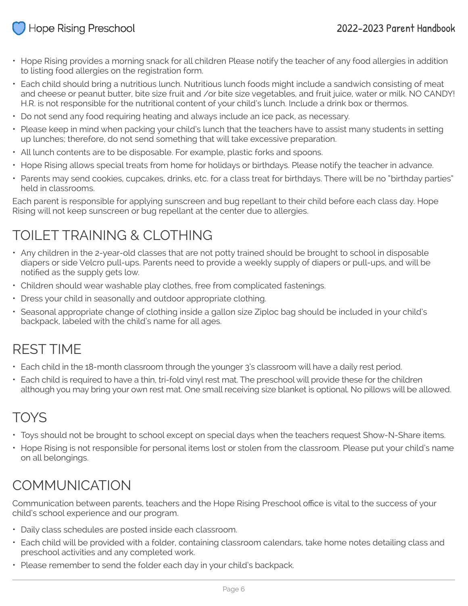#### **Hope Rising Preschool**

- Hope Rising provides a morning snack for all children Please notify the teacher of any food allergies in addition to listing food allergies on the registration form.
- Each child should bring a nutritious lunch. Nutritious lunch foods might include a sandwich consisting of meat and cheese or peanut butter, bite size fruit and /or bite size vegetables, and fruit juice, water or milk. NO CANDY! H.R. is not responsible for the nutritional content of your child's lunch. Include a drink box or thermos.
- Do not send any food requiring heating and always include an ice pack, as necessary.
- Please keep in mind when packing your child's lunch that the teachers have to assist many students in setting up lunches; therefore, do not send something that will take excessive preparation.
- All lunch contents are to be disposable. For example, plastic forks and spoons.
- Hope Rising allows special treats from home for holidays or birthdays. Please notify the teacher in advance.
- Parents may send cookies, cupcakes, drinks, etc. for a class treat for birthdays. There will be no "birthday parties" held in classrooms.

Each parent is responsible for applying sunscreen and bug repellant to their child before each class day. Hope Rising will not keep sunscreen or bug repellant at the center due to allergies.

# TOILET TRAINING & CLOTHING

- Any children in the 2-year-old classes that are not potty trained should be brought to school in disposable diapers or side Velcro pull-ups. Parents need to provide a weekly supply of diapers or pull-ups, and will be notified as the supply gets low.
- Children should wear washable play clothes, free from complicated fastenings.
- Dress your child in seasonally and outdoor appropriate clothing.
- Seasonal appropriate change of clothing inside a gallon size Ziploc bag should be included in your child's backpack, labeled with the child's name for all ages.

## REST TIME

- Each child in the 18-month classroom through the younger 3's classroom will have a daily rest period.
- Each child is required to have a thin, tri-fold vinyl rest mat. The preschool will provide these for the children although you may bring your own rest mat. One small receiving size blanket is optional. No pillows will be allowed.

# TOYS

- Toys should not be brought to school except on special days when the teachers request Show-N-Share items.
- Hope Rising is not responsible for personal items lost or stolen from the classroom. Please put your child's name on all belongings.

## COMMUNICATION

Communication between parents, teachers and the Hope Rising Preschool office is vital to the success of your child's school experience and our program.

- Daily class schedules are posted inside each classroom.
- Each child will be provided with a folder, containing classroom calendars, take home notes detailing class and preschool activities and any completed work.
- Please remember to send the folder each day in your child's backpack.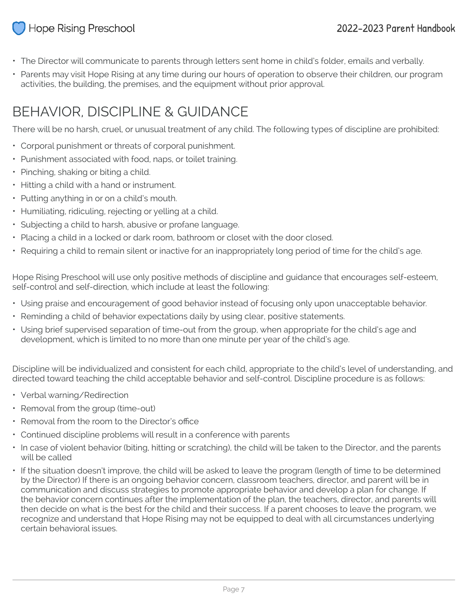#### **Hope Rising Preschool**

- The Director will communicate to parents through letters sent home in child's folder, emails and verbally.
- Parents may visit Hope Rising at any time during our hours of operation to observe their children, our program activities, the building, the premises, and the equipment without prior approval.

# BEHAVIOR, DISCIPLINE & GUIDANCE

There will be no harsh, cruel, or unusual treatment of any child. The following types of discipline are prohibited:

- Corporal punishment or threats of corporal punishment.
- Punishment associated with food, naps, or toilet training.
- Pinching, shaking or biting a child.
- Hitting a child with a hand or instrument.
- Putting anything in or on a child's mouth.
- Humiliating, ridiculing, rejecting or yelling at a child.
- Subjecting a child to harsh, abusive or profane language.
- Placing a child in a locked or dark room, bathroom or closet with the door closed.
- Requiring a child to remain silent or inactive for an inappropriately long period of time for the child's age.

Hope Rising Preschool will use only positive methods of discipline and guidance that encourages self-esteem, self-control and self-direction, which include at least the following:

- Using praise and encouragement of good behavior instead of focusing only upon unacceptable behavior.
- Reminding a child of behavior expectations daily by using clear, positive statements.
- Using brief supervised separation of time-out from the group, when appropriate for the child's age and development, which is limited to no more than one minute per year of the child's age.

Discipline will be individualized and consistent for each child, appropriate to the child's level of understanding, and directed toward teaching the child acceptable behavior and self-control. Discipline procedure is as follows:

- Verbal warning/Redirection
- Removal from the group (time-out)
- Removal from the room to the Director's office
- Continued discipline problems will result in a conference with parents
- In case of violent behavior (biting, hitting or scratching), the child will be taken to the Director, and the parents will be called
- If the situation doesn't improve, the child will be asked to leave the program (length of time to be determined by the Director) If there is an ongoing behavior concern, classroom teachers, director, and parent will be in communication and discuss strategies to promote appropriate behavior and develop a plan for change. If the behavior concern continues after the implementation of the plan, the teachers, director, and parents will then decide on what is the best for the child and their success. If a parent chooses to leave the program, we recognize and understand that Hope Rising may not be equipped to deal with all circumstances underlying certain behavioral issues.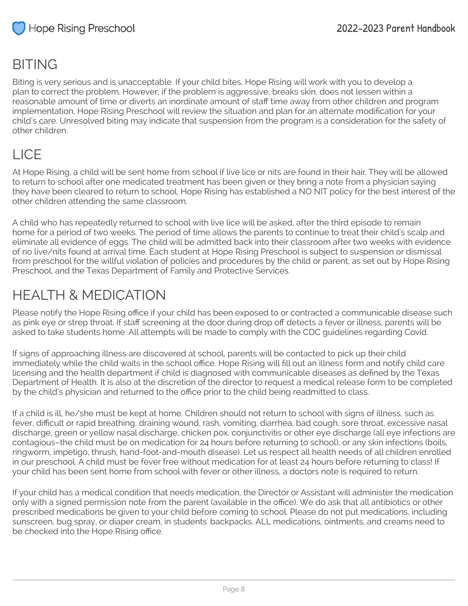## BITING

Biting is very serious and is unacceptable. If your child bites, Hope Rising will work with you to develop a plan to correct the problem. However, if the problem is aggressive, breaks skin, does not lessen within a reasonable amount of time or diverts an inordinate amount of staff time away from other children and program implementation, Hope Rising Preschool will review the situation and plan for an alternate modification for your child's care. Unresolved biting may indicate that suspension from the program is a consideration for the safety of other children.

# LICE

At Hope Rising, a child will be sent home from school if live lice or nits are found in their hair. They will be allowed to return to school after one medicated treatment has been given or they bring a note from a physician saying they have been cleared to return to school. Hope Rising has established a NO NIT policy for the best interest of the other children attending the same classroom.

A child who has repeatedly returned to school with live lice will be asked, after the third episode to remain home for a period of two weeks. The period of time allows the parents to continue to treat their child's scalp and eliminate all evidence of eggs. The child will be admitted back into their classroom after two weeks with evidence of no live/nits found at arrival time. Each student at Hope Rising Preschool is subject to suspension or dismissal from preschool for the willful violation of policies and procedures by the child or parent, as set out by Hope Rising Preschool, and the Texas Department of Family and Protective Services.

# HEALTH & MEDICATION

Please notify the Hope Rising office if your child has been exposed to or contracted a communicable disease such as pink eye or strep throat. If staff screening at the door during drop off detects a fever or illness, parents will be asked to take students home. All attempts will be made to comply with the CDC guidelines regarding Covid.

If signs of approaching illness are discovered at school, parents will be contacted to pick up their child immediately while the child waits in the school office. Hope Rising will fill out an illness form and notify child care licensing and the health department if child is diagnosed with communicable diseases as defined by the Texas Department of Health. It is also at the discretion of the director to request a medical release form to be completed by the child's physician and returned to the office prior to the child being readmitted to class.

If a child is ill, he/she must be kept at home. Children should not return to school with signs of illness, such as fever, difficult or rapid breathing, draining wound, rash, vomiting, diarrhea, bad cough, sore throat, excessive nasal discharge, green or yellow nasal discharge, chicken pox, conjunctivitis or other eye discharge (all eye infections are contagious–the child must be on medication for 24 hours before returning to school), or any skin infections (boils, ringworm, impetigo, thrush, hand-foot-and-mouth disease). Let us respect all health needs of all children enrolled in our preschool. A child must be fever free without medication for at least 24 hours before returning to class! If your child has been sent home from school with fever or other illness, a doctors note is required to return.

If your child has a medical condition that needs medication, the Director or Assistant will administer the medication only with a signed permission note from the parent (available in the office). We do ask that all antibiotics or other prescribed medications be given to your child before coming to school. Please do not put medications, including sunscreen, bug spray, or diaper cream, in students' backpacks. ALL medications, ointments, and creams need to be checked into the Hope Rising office.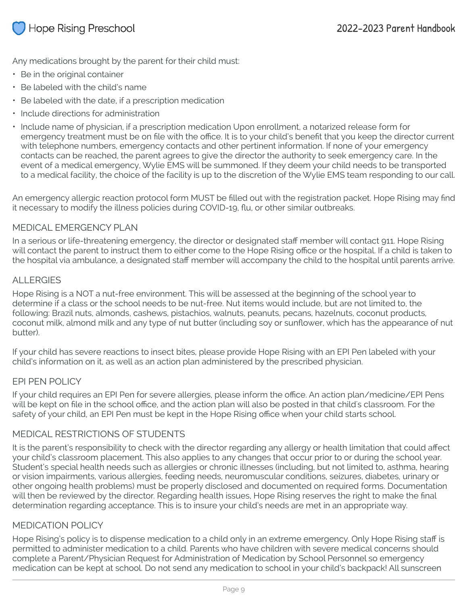Any medications brought by the parent for their child must:

- Be in the original container
- Be labeled with the child's name
- Be labeled with the date, if a prescription medication
- Include directions for administration
- Include name of physician, if a prescription medication Upon enrollment, a notarized release form for emergency treatment must be on file with the office. It is to your child's benefit that you keep the director current with telephone numbers, emergency contacts and other pertinent information. If none of your emergency contacts can be reached, the parent agrees to give the director the authority to seek emergency care. In the event of a medical emergency, Wylie EMS will be summoned. If they deem your child needs to be transported to a medical facility, the choice of the facility is up to the discretion of the Wylie EMS team responding to our call.

An emergency allergic reaction protocol form MUST be filled out with the registration packet. Hope Rising may find it necessary to modify the illness policies during COVID-19, flu, or other similar outbreaks.

#### MEDICAL EMERGENCY PLAN

In a serious or life-threatening emergency, the director or designated staff member will contact 911. Hope Rising will contact the parent to instruct them to either come to the Hope Rising office or the hospital. If a child is taken to the hospital via ambulance, a designated staff member will accompany the child to the hospital until parents arrive.

#### **ALLERGIES**

Hope Rising is a NOT a nut-free environment. This will be assessed at the beginning of the school year to determine if a class or the school needs to be nut-free. Nut items would include, but are not limited to, the following: Brazil nuts, almonds, cashews, pistachios, walnuts, peanuts, pecans, hazelnuts, coconut products, coconut milk, almond milk and any type of nut butter (including soy or sunflower, which has the appearance of nut butter).

If your child has severe reactions to insect bites, please provide Hope Rising with an EPI Pen labeled with your child's information on it, as well as an action plan administered by the prescribed physician.

#### EPI PEN POLICY

If your child requires an EPI Pen for severe allergies, please inform the office. An action plan/medicine/EPI Pens will be kept on file in the school office, and the action plan will also be posted in that child's classroom. For the safety of your child, an EPI Pen must be kept in the Hope Rising office when your child starts school.

#### MEDICAL RESTRICTIONS OF STUDENTS

It is the parent's responsibility to check with the director regarding any allergy or health limitation that could affect your child's classroom placement. This also applies to any changes that occur prior to or during the school year. Student's special health needs such as allergies or chronic illnesses (including, but not limited to, asthma, hearing or vision impairments, various allergies, feeding needs, neuromuscular conditions, seizures, diabetes, urinary or other ongoing health problems) must be properly disclosed and documented on required forms. Documentation will then be reviewed by the director. Regarding health issues, Hope Rising reserves the right to make the final determination regarding acceptance. This is to insure your child's needs are met in an appropriate way.

#### MEDICATION POLICY

Hope Rising's policy is to dispense medication to a child only in an extreme emergency. Only Hope Rising staff is permitted to administer medication to a child. Parents who have children with severe medical concerns should complete a Parent/Physician Request for Administration of Medication by School Personnel so emergency medication can be kept at school. Do not send any medication to school in your child's backpack! All sunscreen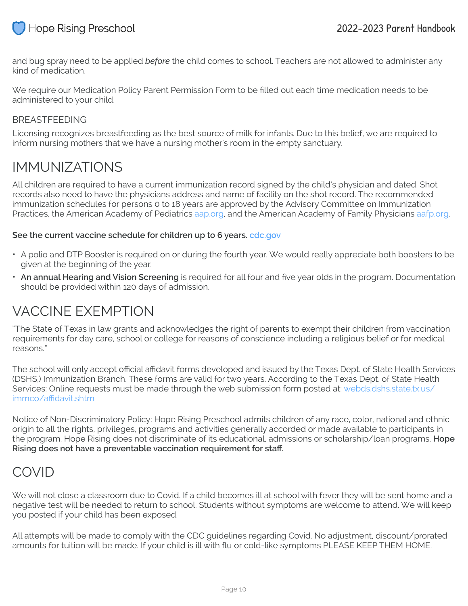

and bug spray need to be applied *before* the child comes to school. Teachers are not allowed to administer any kind of medication.

We require our Medication Policy Parent Permission Form to be filled out each time medication needs to be administered to your child.

#### BREASTFEEDING

Licensing recognizes breastfeeding as the best source of milk for infants. Due to this belief, we are required to inform nursing mothers that we have a nursing mother's room in the empty sanctuary.

#### IMMUNIZATIONS

All children are required to have a current immunization record signed by the child's physician and dated. Shot records also need to have the physicians address and name of facility on the shot record. The recommended immunization schedules for persons 0 to 18 years are approved by the Advisory Committee on Immunization Practices, the American Academy of Pediatrics [aap.org,](http://www.aap.org/) and the American Academy of Family Physicians [aafp.org](http://www.aafp.org/).

#### **See the current vaccine schedule for children up to 6 years. [cdc.gov](https://www.cdc.gov/vaccines/schedules/easy-to-read/child-easyread.html)**

- A polio and DTP Booster is required on or during the fourth year. We would really appreciate both boosters to be given at the beginning of the year.
- **An annual Hearing and Vision Screening** is required for all four and five year olds in the program. Documentation should be provided within 120 days of admission.

#### VACCINE EXEMPTION

"The State of Texas in law grants and acknowledges the right of parents to exempt their children from vaccination requirements for day care, school or college for reasons of conscience including a religious belief or for medical reasons."

The school will only accept official affidavit forms developed and issued by the Texas Dept. of State Health Services (DSHS,) Immunization Branch. These forms are valid for two years. According to the Texas Dept. of State Health Services: Online requests must be made through the web submission form posted at: [webds.dshs.state.tx.us/](http://webds.dshs.state.tx.us/immco/affidavit.shtm) [immco/affidavit.shtm](http://webds.dshs.state.tx.us/immco/affidavit.shtm)

Notice of Non-Discriminatory Policy: Hope Rising Preschool admits children of any race, color, national and ethnic origin to all the rights, privileges, programs and activities generally accorded or made available to participants in the program. Hope Rising does not discriminate of its educational, admissions or scholarship/loan programs. **Hope Rising does not have a preventable vaccination requirement for staff.**

#### COVID

We will not close a classroom due to Covid. If a child becomes ill at school with fever they will be sent home and a negative test will be needed to return to school. Students without symptoms are welcome to attend. We will keep you posted if your child has been exposed.

All attempts will be made to comply with the CDC guidelines regarding Covid. No adjustment, discount/prorated amounts for tuition will be made. If your child is ill with flu or cold-like symptoms PLEASE KEEP THEM HOME.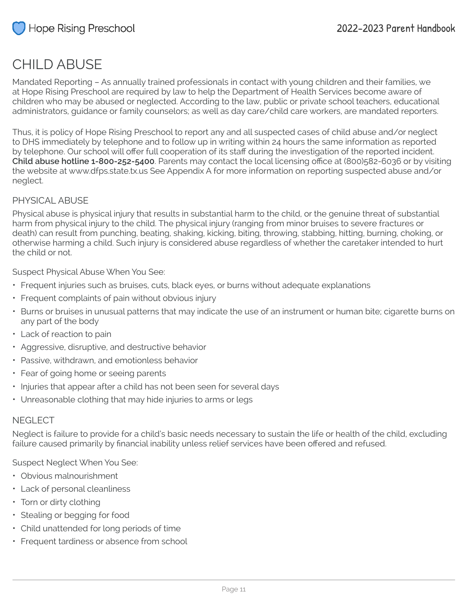## CHILD ABUSE

Mandated Reporting – As annually trained professionals in contact with young children and their families, we at Hope Rising Preschool are required by law to help the Department of Health Services become aware of children who may be abused or neglected. According to the law, public or private school teachers, educational administrators, guidance or family counselors; as well as day care/child care workers, are mandated reporters.

Thus, it is policy of Hope Rising Preschool to report any and all suspected cases of child abuse and/or neglect to DHS immediately by telephone and to follow up in writing within 24 hours the same information as reported by telephone. Our school will offer full cooperation of its staff during the investigation of the reported incident. **Child abuse hotline 1-800-252-5400**. Parents may contact the local licensing office at (800)582-6036 or by visiting the website at www.dfps.state.tx.us See Appendix A for more information on reporting suspected abuse and/or neglect.

#### PHYSICAL ABUSE

Physical abuse is physical injury that results in substantial harm to the child, or the genuine threat of substantial harm from physical injury to the child. The physical injury (ranging from minor bruises to severe fractures or death) can result from punching, beating, shaking, kicking, biting, throwing, stabbing, hitting, burning, choking, or otherwise harming a child. Such injury is considered abuse regardless of whether the caretaker intended to hurt the child or not.

Suspect Physical Abuse When You See:

- Frequent injuries such as bruises, cuts, black eyes, or burns without adequate explanations
- Frequent complaints of pain without obvious injury
- Burns or bruises in unusual patterns that may indicate the use of an instrument or human bite; cigarette burns on any part of the body
- Lack of reaction to pain
- Aggressive, disruptive, and destructive behavior
- Passive, withdrawn, and emotionless behavior
- Fear of going home or seeing parents
- Injuries that appear after a child has not been seen for several days
- Unreasonable clothing that may hide injuries to arms or legs

#### NEGI FCT

Neglect is failure to provide for a child's basic needs necessary to sustain the life or health of the child, excluding failure caused primarily by financial inability unless relief services have been offered and refused.

Suspect Neglect When You See:

- Obvious malnourishment
- Lack of personal cleanliness
- Torn or dirty clothing
- Stealing or begging for food
- Child unattended for long periods of time
- Frequent tardiness or absence from school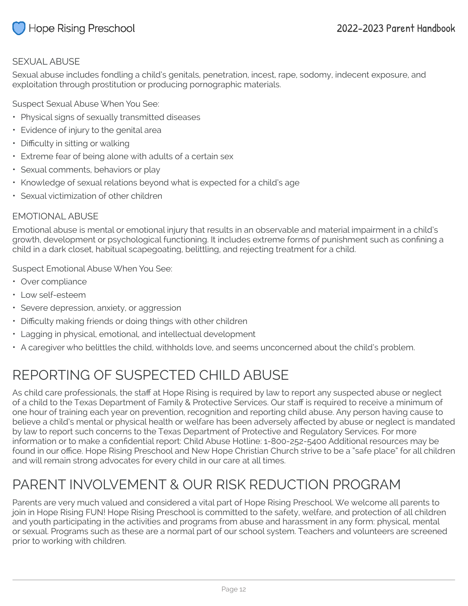

#### SEXUAL ABUSE

Sexual abuse includes fondling a child's genitals, penetration, incest, rape, sodomy, indecent exposure, and exploitation through prostitution or producing pornographic materials.

Suspect Sexual Abuse When You See:

- Physical signs of sexually transmitted diseases
- Evidence of injury to the genital area
- Difficulty in sitting or walking
- Extreme fear of being alone with adults of a certain sex
- Sexual comments, behaviors or play
- Knowledge of sexual relations beyond what is expected for a child's age
- Sexual victimization of other children

#### EMOTIONAL ABUSE

Emotional abuse is mental or emotional injury that results in an observable and material impairment in a child's growth, development or psychological functioning. It includes extreme forms of punishment such as confining a child in a dark closet, habitual scapegoating, belittling, and rejecting treatment for a child.

Suspect Emotional Abuse When You See:

- Over compliance
- Low self-esteem
- Severe depression, anxiety, or aggression
- Difficulty making friends or doing things with other children
- Lagging in physical, emotional, and intellectual development
- A caregiver who belittles the child, withholds love, and seems unconcerned about the child's problem.

# REPORTING OF SUSPECTED CHILD ABUSE

As child care professionals, the staff at Hope Rising is required by law to report any suspected abuse or neglect of a child to the Texas Department of Family & Protective Services. Our staff is required to receive a minimum of one hour of training each year on prevention, recognition and reporting child abuse. Any person having cause to believe a child's mental or physical health or welfare has been adversely affected by abuse or neglect is mandated by law to report such concerns to the Texas Department of Protective and Regulatory Services. For more information or to make a confidential report: Child Abuse Hotline: 1-800-252-5400 Additional resources may be found in our office. Hope Rising Preschool and New Hope Christian Church strive to be a "safe place" for all children and will remain strong advocates for every child in our care at all times.

# PARENT INVOLVEMENT & OUR RISK REDUCTION PROGRAM

Parents are very much valued and considered a vital part of Hope Rising Preschool. We welcome all parents to join in Hope Rising FUN! Hope Rising Preschool is committed to the safety, welfare, and protection of all children and youth participating in the activities and programs from abuse and harassment in any form: physical, mental or sexual. Programs such as these are a normal part of our school system. Teachers and volunteers are screened prior to working with children.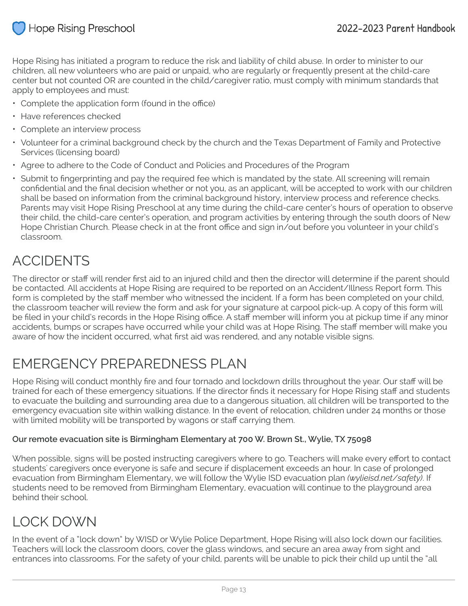

Hope Rising has initiated a program to reduce the risk and liability of child abuse. In order to minister to our children, all new volunteers who are paid or unpaid, who are regularly or frequently present at the child-care center but not counted OR are counted in the child/caregiver ratio, must comply with minimum standards that apply to employees and must:

- Complete the application form (found in the office)
- Have references checked
- Complete an interview process
- Volunteer for a criminal background check by the church and the Texas Department of Family and Protective Services (licensing board)
- Agree to adhere to the Code of Conduct and Policies and Procedures of the Program
- Submit to fingerprinting and pay the required fee which is mandated by the state. All screening will remain confidential and the final decision whether or not you, as an applicant, will be accepted to work with our children shall be based on information from the criminal background history, interview process and reference checks. Parents may visit Hope Rising Preschool at any time during the child-care center's hours of operation to observe their child, the child-care center's operation, and program activities by entering through the south doors of New Hope Christian Church. Please check in at the front office and sign in/out before you volunteer in your child's classroom.

## ACCIDENTS

The director or staff will render first aid to an injured child and then the director will determine if the parent should be contacted. All accidents at Hope Rising are required to be reported on an Accident/Illness Report form. This form is completed by the staff member who witnessed the incident. If a form has been completed on your child, the classroom teacher will review the form and ask for your signature at carpool pick-up. A copy of this form will be filed in your child's records in the Hope Rising office. A staff member will inform you at pickup time if any minor accidents, bumps or scrapes have occurred while your child was at Hope Rising. The staff member will make you aware of how the incident occurred, what first aid was rendered, and any notable visible signs.

## EMERGENCY PREPAREDNESS PLAN

Hope Rising will conduct monthly fire and four tornado and lockdown drills throughout the year. Our staff will be trained for each of these emergency situations. If the director finds it necessary for Hope Rising staff and students to evacuate the building and surrounding area due to a dangerous situation, all children will be transported to the emergency evacuation site within walking distance. In the event of relocation, children under 24 months or those with limited mobility will be transported by wagons or staff carrying them.

#### **Our remote evacuation site is Birmingham Elementary at 700 W. Brown St., Wylie, TX 75098**

When possible, signs will be posted instructing caregivers where to go. Teachers will make every effort to contact students' caregivers once everyone is safe and secure if displacement exceeds an hour. In case of prolonged evacuation from Birmingham Elementary, we will follow the Wylie ISD evacuation plan *(wylieisd.net/safety)*. If students need to be removed from Birmingham Elementary, evacuation will continue to the playground area behind their school.

## LOCK DOWN

In the event of a "lock down" by WISD or Wylie Police Department, Hope Rising will also lock down our facilities. Teachers will lock the classroom doors, cover the glass windows, and secure an area away from sight and entrances into classrooms. For the safety of your child, parents will be unable to pick their child up until the "all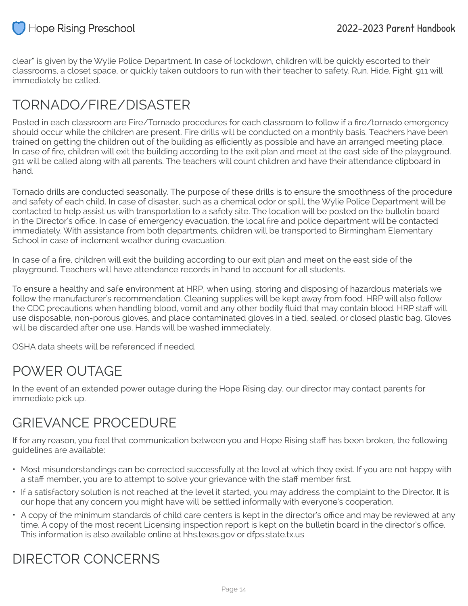

clear" is given by the Wylie Police Department. In case of lockdown, children will be quickly escorted to their classrooms, a closet space, or quickly taken outdoors to run with their teacher to safety. Run. Hide. Fight. 911 will immediately be called.

## TORNADO/FIRE/DISASTER

Posted in each classroom are Fire/Tornado procedures for each classroom to follow if a fire/tornado emergency should occur while the children are present. Fire drills will be conducted on a monthly basis. Teachers have been trained on getting the children out of the building as efficiently as possible and have an arranged meeting place. In case of fire, children will exit the building according to the exit plan and meet at the east side of the playground. 911 will be called along with all parents. The teachers will count children and have their attendance clipboard in hand.

Tornado drills are conducted seasonally. The purpose of these drills is to ensure the smoothness of the procedure and safety of each child. In case of disaster, such as a chemical odor or spill, the Wylie Police Department will be contacted to help assist us with transportation to a safety site. The location will be posted on the bulletin board in the Director's office. In case of emergency evacuation, the local fire and police department will be contacted immediately. With assistance from both departments, children will be transported to Birmingham Elementary School in case of inclement weather during evacuation.

In case of a fire, children will exit the building according to our exit plan and meet on the east side of the playground. Teachers will have attendance records in hand to account for all students.

To ensure a healthy and safe environment at HRP, when using, storing and disposing of hazardous materials we follow the manufacturer's recommendation. Cleaning supplies will be kept away from food. HRP will also follow the CDC precautions when handling blood, vomit and any other bodily fluid that may contain blood. HRP staff will use disposable, non-porous gloves, and place contaminated gloves in a tied, sealed, or closed plastic bag. Gloves will be discarded after one use. Hands will be washed immediately.

OSHA data sheets will be referenced if needed.

## POWER OUTAGE

In the event of an extended power outage during the Hope Rising day, our director may contact parents for immediate pick up.

## GRIEVANCE PROCEDURE

If for any reason, you feel that communication between you and Hope Rising staff has been broken, the following guidelines are available:

- Most misunderstandings can be corrected successfully at the level at which they exist. If you are not happy with a staff member, you are to attempt to solve your grievance with the staff member first.
- If a satisfactory solution is not reached at the level it started, you may address the complaint to the Director. It is our hope that any concern you might have will be settled informally with everyone's cooperation.
- A copy of the minimum standards of child care centers is kept in the director's office and may be reviewed at any time. A copy of the most recent Licensing inspection report is kept on the bulletin board in the director's office. This information is also available online at [hhs.texas.gov](http://www.hhs.texas.gov/) or [dfps.state.tx.us](http://www.dfps.state.tx.us/)

## DIRECTOR CONCERNS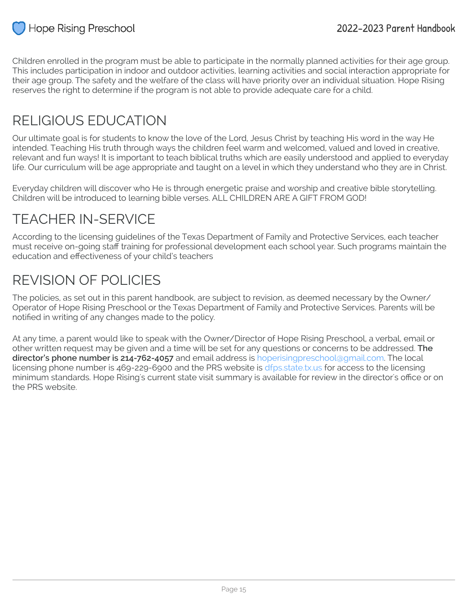

Children enrolled in the program must be able to participate in the normally planned activities for their age group. This includes participation in indoor and outdoor activities, learning activities and social interaction appropriate for their age group. The safety and the welfare of the class will have priority over an individual situation. Hope Rising reserves the right to determine if the program is not able to provide adequate care for a child.

## RELIGIOUS EDUCATION

Our ultimate goal is for students to know the love of the Lord, Jesus Christ by teaching His word in the way He intended. Teaching His truth through ways the children feel warm and welcomed, valued and loved in creative, relevant and fun ways! It is important to teach biblical truths which are easily understood and applied to everyday life. Our curriculum will be age appropriate and taught on a level in which they understand who they are in Christ.

Everyday children will discover who He is through energetic praise and worship and creative bible storytelling. Children will be introduced to learning bible verses. ALL CHILDREN ARE A GIFT FROM GOD!

# TEACHER IN-SERVICE

According to the licensing guidelines of the Texas Department of Family and Protective Services, each teacher must receive on-going staff training for professional development each school year. Such programs maintain the education and effectiveness of your child's teachers

## REVISION OF POLICIES

The policies, as set out in this parent handbook, are subject to revision, as deemed necessary by the Owner/ Operator of Hope Rising Preschool or the Texas Department of Family and Protective Services. Parents will be notified in writing of any changes made to the policy.

At any time, a parent would like to speak with the Owner/Director of Hope Rising Preschool, a verbal, email or other written request may be given and a time will be set for any questions or concerns to be addressed. **The director's phone number is 214-762-4057** and email address is hoperisingpreschool@gmail.com. The local licensing phone number is 469-229-6900 and the PRS website is [dfps.state.tx.us](http://www.dfps.state.tx.us/) for access to the licensing minimum standards. Hope Rising's current state visit summary is available for review in the director's office or on the PRS website.